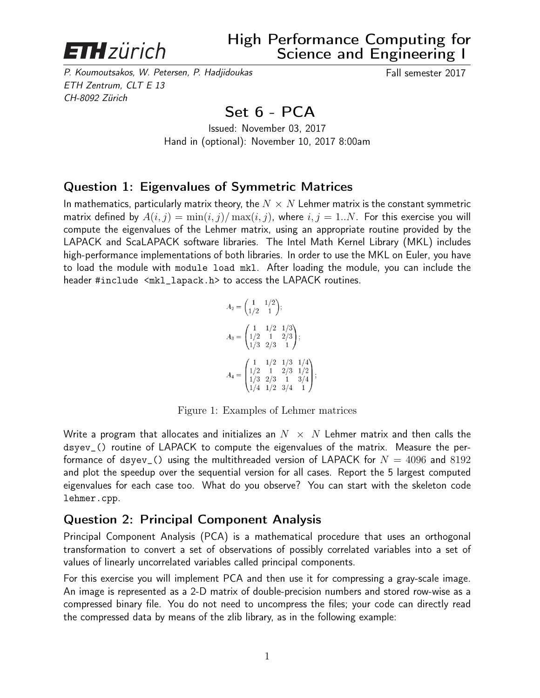

P. Koumoutsakos, W. Petersen, P. Hadjidoukas Fall semester 2017 ETH Zentrum, CLT E 13 CH-8092 Zürich

## Set 6 - PCA

Issued: November 03, 2017 Hand in (optional): November 10, 2017 8:00am

## Question 1: Eigenvalues of Symmetric Matrices

In mathematics, particularly matrix theory, the  $N \times N$  Lehmer matrix is the constant symmetric matrix defined by  $A(i, j) = \min(i, j) / \max(i, j)$ , where  $i, j = 1..N$ . For this exercise you will compute the eigenvalues of the Lehmer matrix, using an appropriate routine provided by the LAPACK and ScaLAPACK software libraries. The Intel Math Kernel Library (MKL) includes high-performance implementations of both libraries. In order to use the MKL on Euler, you have to load the module with module load mkl. After loading the module, you can include the header #include <mkl\_lapack.h> to access the LAPACK routines.

$$
A_2 = \begin{pmatrix} 1 & 1/2 \\ 1/2 & 1 \end{pmatrix};
$$
  
\n
$$
A_3 = \begin{pmatrix} 1 & 1/2 & 1/3 \\ 1/2 & 1 & 2/3 \\ 1/3 & 2/3 & 1 \end{pmatrix};
$$
  
\n
$$
A_4 = \begin{pmatrix} 1 & 1/2 & 1/3 & 1/4 \\ 1/2 & 1 & 2/3 & 1/2 \\ 1/3 & 2/3 & 1 & 3/4 \\ 1/4 & 1/2 & 3/4 & 1 \end{pmatrix};
$$

Figure 1: Examples of Lehmer matrices

Write a program that allocates and initializes an  $N \times N$  Lehmer matrix and then calls the dsyev\_() routine of LAPACK to compute the eigenvalues of the matrix. Measure the performance of dsyev<sub>-</sub>() using the multithreaded version of LAPACK for  $N = 4096$  and 8192 and plot the speedup over the sequential version for all cases. Report the 5 largest computed eigenvalues for each case too. What do you observe? You can start with the skeleton code lehmer.cpp.

## Question 2: Principal Component Analysis

Principal Component Analysis (PCA) is a mathematical procedure that uses an orthogonal transformation to convert a set of observations of possibly correlated variables into a set of values of linearly uncorrelated variables called principal components.

For this exercise you will implement PCA and then use it for compressing a gray-scale image. An image is represented as a 2-D matrix of double-precision numbers and stored row-wise as a compressed binary file. You do not need to uncompress the files; your code can directly read the compressed data by means of the zlib library, as in the following example: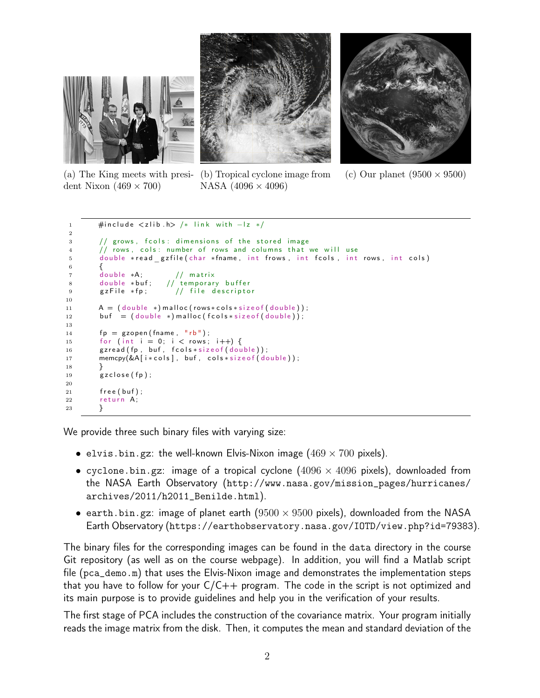



dent Nixon  $(469 \times 700)$ 

(a) The King meets with presi-(b) Tropical cyclone image from NASA  $(4096 \times 4096)$ 

(c) Our planet  $(9500 \times 9500)$ 

```
1 #include \langlezlib.h > /* link with -lz */
2
3 // grows, fcols: dimensions of the stored image
4 // rows, cols: number of rows and columns that we will use
5 double *read_gzfile(char *fname, int frows, int fcols, int rows, int cols)
6 \qquad \qquad \left\{7 double ∗A; // matrix
8 double *buf; // temporary buffer
9 gzFile *fp; // file descriptor
10
11 A = (double *) \text{ malloc} (rows * \text{cols} * \text{size} \text{ of } (double)) ;12 buf = (double *) malloc (fcols * size of (double));13
14 fp = gzopen (frame, "rb");
15 for (int i = 0; i < rows; i+1) {
16 gzread (fp, buf, fcols * size of (double));
17 memcpy(&A[i*cols], buf, cols*sizeof(double));
18 }
19 gzclose(fp);
20
21 free (buf);
22 return A:
23 }
```
We provide three such binary files with varying size:

- elvis.bin.gz: the well-known Elvis-Nixon image  $(469 \times 700)$  pixels).
- cyclone.bin.gz: image of a tropical cyclone  $(4096 \times 4096)$  pixels), downloaded from the NASA Earth Observatory (http://www.nasa.gov/mission\_pages/hurricanes/ archives/2011/h2011\_Benilde.html).
- earth.bin.gz: image of planet earth  $(9500 \times 9500)$  pixels), downloaded from the NASA Earth Observatory (https://earthobservatory.nasa.gov/IOTD/view.php?id=79383).

The binary files for the corresponding images can be found in the data directory in the course Git repository (as well as on the course webpage). In addition, you will find a Matlab script file (pca\_demo.m) that uses the Elvis-Nixon image and demonstrates the implementation steps that you have to follow for your  $C/C++$  program. The code in the script is not optimized and its main purpose is to provide guidelines and help you in the verification of your results.

The first stage of PCA includes the construction of the covariance matrix. Your program initially reads the image matrix from the disk. Then, it computes the mean and standard deviation of the